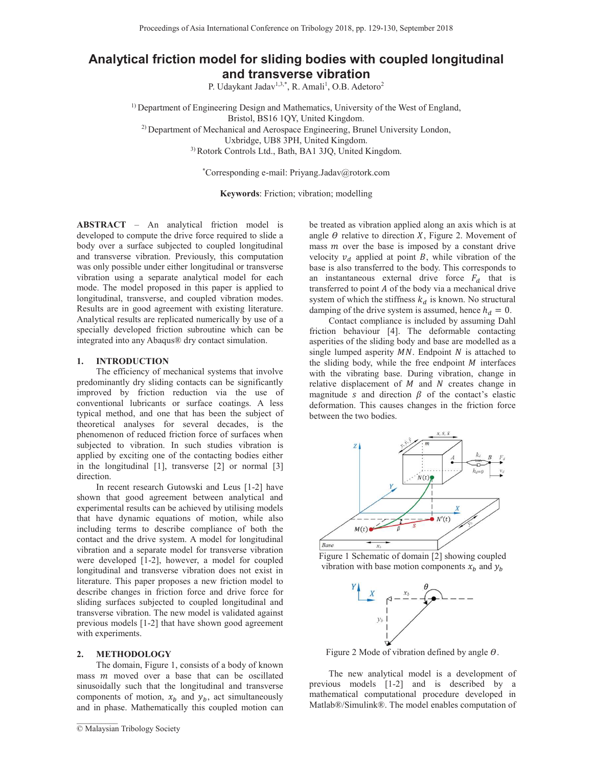# **Analytical friction model for sliding bodies with coupled longitudinal and transverse vibration**

P. Udaykant Jadav<sup>1,3,\*</sup>, R. Amali<sup>1</sup>, O.B. Adetoro<sup>2</sup>

<sup>1)</sup> Department of Engineering Design and Mathematics, University of the West of England, Bristol, BS16 1QY, United Kingdom. <sup>2)</sup> Department of Mechanical and Aerospace Engineering, Brunel University London, Uxbridge, UB8 3PH, United Kingdom. 3) Rotork Controls Ltd., Bath, BA1 3JQ, United Kingdom.

\*Corresponding e-mail: Priyang.Jadav@rotork.com

**Keywords**: Friction; vibration; modelling

**ABSTRACT** – An analytical friction model is developed to compute the drive force required to slide a body over a surface subjected to coupled longitudinal and transverse vibration. Previously, this computation was only possible under either longitudinal or transverse vibration using a separate analytical model for each mode. The model proposed in this paper is applied to longitudinal, transverse, and coupled vibration modes. Results are in good agreement with existing literature. Analytical results are replicated numerically by use of a specially developed friction subroutine which can be integrated into any Abaqus® dry contact simulation.

#### **1. INTRODUCTION**

The efficiency of mechanical systems that involve predominantly dry sliding contacts can be significantly improved by friction reduction via the use of conventional lubricants or surface coatings. A less typical method, and one that has been the subject of theoretical analyses for several decades, is the phenomenon of reduced friction force of surfaces when subjected to vibration. In such studies vibration is applied by exciting one of the contacting bodies either in the longitudinal [1], transverse [2] or normal [3] direction.

In recent research Gutowski and Leus [1-2] have shown that good agreement between analytical and experimental results can be achieved by utilising models that have dynamic equations of motion, while also including terms to describe compliance of both the contact and the drive system. A model for longitudinal vibration and a separate model for transverse vibration were developed [1-2], however, a model for coupled longitudinal and transverse vibration does not exist in literature. This paper proposes a new friction model to describe changes in friction force and drive force for sliding surfaces subjected to coupled longitudinal and transverse vibration. The new model is validated against previous models [1-2] that have shown good agreement with experiments.

## **2. METHODOLOGY**

The domain, Figure 1, consists of a body of known mass  $m$  moved over a base that can be oscillated sinusoidally such that the longitudinal and transverse components of motion,  $x_b$  and  $y_b$ , act simultaneously and in phase. Mathematically this coupled motion can

 $\mathcal{L}_\text{max}$ 

be treated as vibration applied along an axis which is at angle  $\theta$  relative to direction X, Figure 2. Movement of mass  *over the base is imposed by a constant drive* velocity  $v_d$  applied at point B, while vibration of the base is also transferred to the body. This corresponds to an instantaneous external drive force  $F_d$  that is transferred to point  $A$  of the body via a mechanical drive system of which the stiffness  $k_d$  is known. No structural damping of the drive system is assumed, hence  $h_d = 0$ .

Contact compliance is included by assuming Dahl friction behaviour [4]. The deformable contacting asperities of the sliding body and base are modelled as a single lumped asperity  $MN$ . Endpoint  $N$  is attached to the sliding body, while the free endpoint  $M$  interfaces with the vibrating base. During vibration, change in relative displacement of  $M$  and  $N$  creates change in magnitude s and direction  $\beta$  of the contact's elastic deformation. This causes changes in the friction force between the two bodies.



Figure 1 Schematic of domain [2] showing coupled vibration with base motion components  $x_h$  and  $y_h$ 



Figure 2 Mode of vibration defined by angle  $\theta$ .

The new analytical model is a development of previous models [1-2] and is described by a mathematical computational procedure developed in Matlab®/Simulink®. The model enables computation of